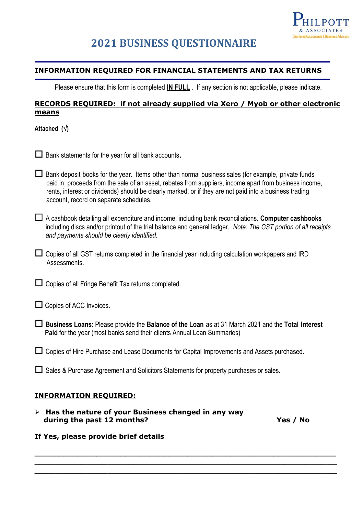

# **2021 BUSINESS QUESTIONNAIRE**

## **INFORMATION REQUIRED FOR FINANCIAL STATEMENTS AND TAX RETURNS**

Please ensure that this form is completed **IN FULL** . If any section is not applicable, please indicate.

# **RECORDS REQUIRED: if not already supplied via Xero / Myob or other electronic means**

**Attached ()**

 $\Box$  Bank statements for the year for all bank accounts.

 $\Box$  Bank deposit books for the year. Items other than normal business sales (for example, private funds paid in, proceeds from the sale of an asset, rebates from suppliers, income apart from business income, rents, interest or dividends) should be clearly marked, or if they are not paid into a business trading account, record on separate schedules.

 A cashbook detailing all expenditure and income, including bank reconciliations. **Computer cashbooks** including discs and/or printout of the trial balance and general ledger. *Note: The GST portion of all receipts and payments should be clearly identified.*

 $\Box$  Copies of all GST returns completed in the financial year including calculation workpapers and IRD Assessments.

 $\Box$  Copies of all Fringe Benefit Tax returns completed.

 $\Box$  Copies of ACC Invoices.

 **Business Loans**: Please provide the **Balance of the Loan** as at 31 March 2021 and the **Total Interest Paid** for the year (most banks send their clients Annual Loan Summaries)

 $\Box$  Copies of Hire Purchase and Lease Documents for Capital Improvements and Assets purchased.

 $\Box$  Sales & Purchase Agreement and Solicitors Statements for property purchases or sales.

## **INFORMATION REQUIRED:**

➢ **Has the nature of your Business changed in any way during the past 12 months? Yes / No**

#### **If Yes, please provide brief details**

**\_\_\_\_\_\_\_\_\_\_\_\_\_\_\_\_\_\_\_\_\_\_\_\_\_\_\_\_\_\_\_\_\_\_\_\_\_\_\_\_\_\_\_\_\_\_\_\_\_\_\_\_\_\_\_\_\_\_\_\_\_\_\_ \_\_\_\_\_\_\_\_\_\_\_\_\_\_\_\_\_\_\_\_\_\_\_\_\_\_\_\_\_\_\_\_\_\_\_\_\_\_\_\_\_\_\_\_\_\_\_\_\_\_\_\_\_\_\_\_\_\_**

**\_\_\_\_\_\_\_\_\_\_\_\_\_\_\_\_\_\_\_\_\_\_\_\_\_\_\_\_\_\_\_\_\_\_\_\_\_\_\_\_\_\_\_\_\_\_\_\_\_\_\_\_\_\_\_\_\_\_**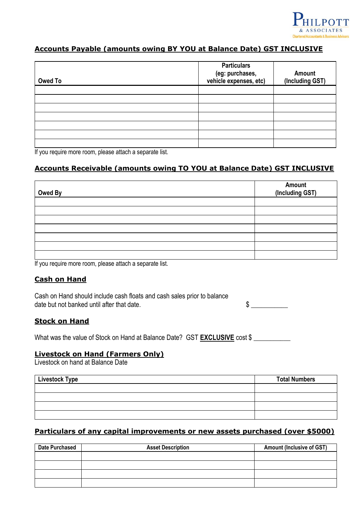

# **Accounts Payable (amounts owing BY YOU at Balance Date) GST INCLUSIVE**

| <b>Owed To</b> | <b>Particulars</b><br>(eg: purchases,<br>vehicle expenses, etc) | Amount<br>(Including GST) |
|----------------|-----------------------------------------------------------------|---------------------------|
|                |                                                                 |                           |
|                |                                                                 |                           |
|                |                                                                 |                           |
|                |                                                                 |                           |
|                |                                                                 |                           |
|                |                                                                 |                           |
|                |                                                                 |                           |

If you require more room, please attach a separate list.

# **Accounts Receivable (amounts owing TO YOU at Balance Date) GST INCLUSIVE**

| Owed By | Amount<br>(Including GST) |
|---------|---------------------------|
|         |                           |
|         |                           |
|         |                           |
|         |                           |
|         |                           |
|         |                           |
|         |                           |

If you require more room, please attach a separate list.

#### **Cash on Hand**

Cash on Hand should include cash floats and cash sales prior to balance date but not banked until after that date.  $\sim$ 

#### **Stock on Hand**

What was the value of Stock on Hand at Balance Date? GST **EXCLUSIVE** cost \$

#### **Livestock on Hand (Farmers Only)**

Livestock on hand at Balance Date

| <b>Livestock Type</b> | <b>Total Numbers</b> |
|-----------------------|----------------------|
|                       |                      |
|                       |                      |
|                       |                      |
|                       |                      |

## **Particulars of any capital improvements or new assets purchased (over \$5000)**

| <b>Date Purchased</b> | <b>Asset Description</b> | <b>Amount (Inclusive of GST)</b> |
|-----------------------|--------------------------|----------------------------------|
|                       |                          |                                  |
|                       |                          |                                  |
|                       |                          |                                  |
|                       |                          |                                  |